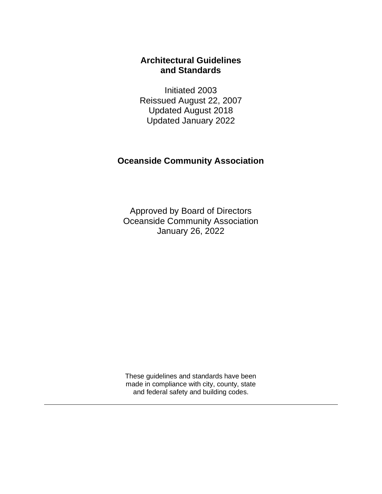# **Architectural Guidelines and Standards**

Initiated 2003 Reissued August 22, 2007 Updated August 2018 Updated January 2022

# **Oceanside Community Association**

Approved by Board of Directors Oceanside Community Association January 26, 2022

These guidelines and standards have been made in compliance with city, county, state and federal safety and building codes.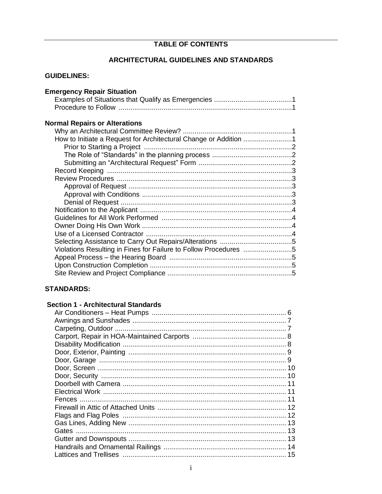# **TABLE OF CONTENTS**

# ARCHITECTURAL GUIDELINES AND STANDARDS

| <b>GUIDELINES:</b>                                               |
|------------------------------------------------------------------|
| <b>Emergency Repair Situation</b>                                |
| <b>Normal Repairs or Alterations</b>                             |
| Violations Resulting in Fines for Failure to Follow Procedures 5 |

# **STANDARDS:**

# **Section 1 - Architectural Standards**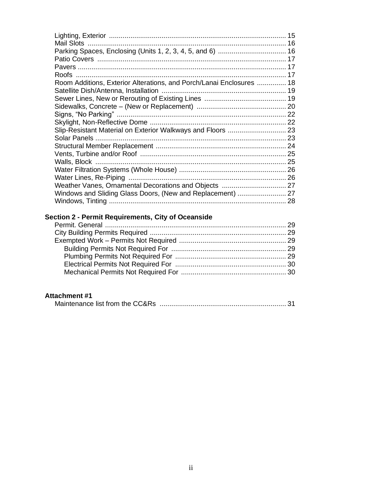| 15                                                                   |
|----------------------------------------------------------------------|
|                                                                      |
|                                                                      |
|                                                                      |
|                                                                      |
|                                                                      |
| Room Additions, Exterior Alterations, and Porch/Lanai Enclosures  18 |
|                                                                      |
|                                                                      |
|                                                                      |
| Signs, "No Parking" ………………………………………………………………………… 22                  |
|                                                                      |
|                                                                      |
|                                                                      |
|                                                                      |
|                                                                      |
|                                                                      |
|                                                                      |
|                                                                      |
| Weather Vanes, Ornamental Decorations and Objects  27                |
| Windows and Sliding Glass Doors, (New and Replacement)  27           |
|                                                                      |
|                                                                      |

# Section 2 - Permit Requirements, City of Oceanside

# **Attachment #1**

|--|--|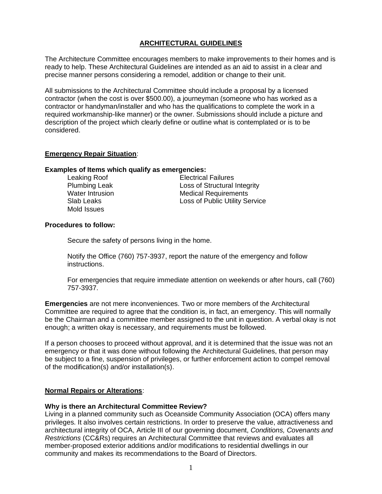# **ARCHITECTURAL GUIDELINES**

The Architecture Committee encourages members to make improvements to their homes and is ready to help. These Architectural Guidelines are intended as an aid to assist in a clear and precise manner persons considering a remodel, addition or change to their unit.

All submissions to the Architectural Committee should include a proposal by a licensed contractor (when the cost is over \$500.00), a journeyman (someone who has worked as a contractor or handyman/installer and who has the qualifications to complete the work in a required workmanship-like manner) or the owner. Submissions should include a picture and description of the project which clearly define or outline what is contemplated or is to be considered.

# **Emergency Repair Situation**:

#### **Examples of Items which qualify as emergencies:**

Mold Issues

Leaking Roof **Electrical Failures**<br> **Plumbing Leak Electrical Failures** Loss of Structural Integrity Water Intrusion **Medical Requirements** Slab Leaks Loss of Public Utility Service

# **Procedures to follow:**

Secure the safety of persons living in the home.

Notify the Office (760) 757-3937, report the nature of the emergency and follow instructions.

For emergencies that require immediate attention on weekends or after hours, call (760) 757-3937.

**Emergencies** are not mere inconveniences. Two or more members of the Architectural Committee are required to agree that the condition is, in fact, an emergency. This will normally be the Chairman and a committee member assigned to the unit in question. A verbal okay is not enough; a written okay is necessary, and requirements must be followed.

If a person chooses to proceed without approval, and it is determined that the issue was not an emergency or that it was done without following the Architectural Guidelines, that person may be subject to a fine, suspension of privileges, or further enforcement action to compel removal of the modification(s) and/or installation(s).

# **Normal Repairs or Alterations**:

# **Why is there an Architectural Committee Review?**

Living in a planned community such as Oceanside Community Association (OCA) offers many privileges. It also involves certain restrictions. In order to preserve the value, attractiveness and architectural integrity of OCA, Article III of our governing document, *Conditions, Covenants and Restrictions* (CC&Rs) requires an Architectural Committee that reviews and evaluates all member-proposed exterior additions and/or modifications to residential dwellings in our community and makes its recommendations to the Board of Directors.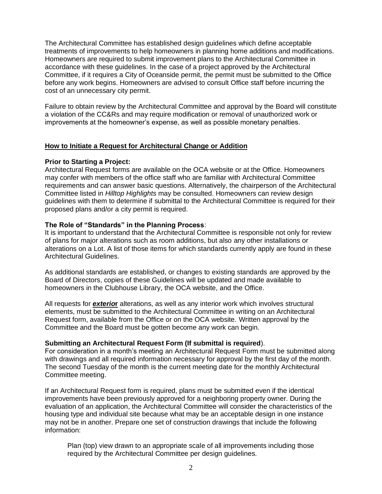The Architectural Committee has established design guidelines which define acceptable treatments of improvements to help homeowners in planning home additions and modifications. Homeowners are required to submit improvement plans to the Architectural Committee in accordance with these guidelines. In the case of a project approved by the Architectural Committee, if it requires a City of Oceanside permit, the permit must be submitted to the Office before any work begins. Homeowners are advised to consult Office staff before incurring the cost of an unnecessary city permit.

Failure to obtain review by the Architectural Committee and approval by the Board will constitute a violation of the CC&Rs and may require modification or removal of unauthorized work or improvements at the homeowner's expense, as well as possible monetary penalties.

# **How to Initiate a Request for Architectural Change or Addition**

# **Prior to Starting a Project:**

Architectural Request forms are available on the OCA website or at the Office. Homeowners may confer with members of the office staff who are familiar with Architectural Committee requirements and can answer basic questions. Alternatively, the chairperson of the Architectural Committee listed in *Hilltop Highlights* may be consulted. Homeowners can review design guidelines with them to determine if submittal to the Architectural Committee is required for their proposed plans and/or a city permit is required.

# **The Role of "Standards" in the Planning Process**:

It is important to understand that the Architectural Committee is responsible not only for review of plans for major alterations such as room additions, but also any other installations or alterations on a Lot. A list of those items for which standards currently apply are found in these Architectural Guidelines.

As additional standards are established, or changes to existing standards are approved by the Board of Directors, copies of these Guidelines will be updated and made available to homeowners in the Clubhouse Library, the OCA website, and the Office.

All requests for *exterio***r** alterations, as well as any interior work which involves structural elements, must be submitted to the Architectural Committee in writing on an Architectural Request form, available from the Office or on the OCA website. Written approval by the Committee and the Board must be gotten become any work can begin.

# **Submitting an Architectural Request Form (If submittal is required**).

For consideration in a month's meeting an Architectural Request Form must be submitted along with drawings and all required information necessary for approval by the first day of the month. The second Tuesday of the month is the current meeting date for the monthly Architectural Committee meeting.

If an Architectural Request form is required, plans must be submitted even if the identical improvements have been previously approved for a neighboring property owner. During the evaluation of an application, the Architectural Committee will consider the characteristics of the housing type and individual site because what may be an acceptable design in one instance may not be in another. Prepare one set of construction drawings that include the following information:

Plan (top) view drawn to an appropriate scale of all improvements including those required by the Architectural Committee per design guidelines.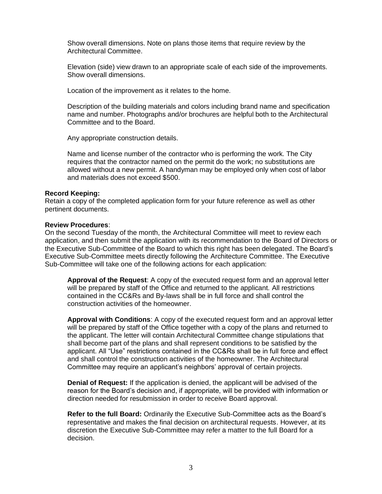Show overall dimensions. Note on plans those items that require review by the Architectural Committee.

Elevation (side) view drawn to an appropriate scale of each side of the improvements. Show overall dimensions.

Location of the improvement as it relates to the home.

Description of the building materials and colors including brand name and specification name and number. Photographs and/or brochures are helpful both to the Architectural Committee and to the Board.

Any appropriate construction details.

Name and license number of the contractor who is performing the work. The City requires that the contractor named on the permit do the work; no substitutions are allowed without a new permit. A handyman may be employed only when cost of labor and materials does not exceed \$500.

#### **Record Keeping:**

Retain a copy of the completed application form for your future reference as well as other pertinent documents.

#### **Review Procedures**:

On the second Tuesday of the month, the Architectural Committee will meet to review each application, and then submit the application with its recommendation to the Board of Directors or the Executive Sub-Committee of the Board to which this right has been delegated. The Board's Executive Sub-Committee meets directly following the Architecture Committee. The Executive Sub-Committee will take one of the following actions for each application:

**Approval of the Request**: A copy of the executed request form and an approval letter will be prepared by staff of the Office and returned to the applicant. All restrictions contained in the CC&Rs and By-laws shall be in full force and shall control the construction activities of the homeowner.

**Approval with Conditions**: A copy of the executed request form and an approval letter will be prepared by staff of the Office together with a copy of the plans and returned to the applicant. The letter will contain Architectural Committee change stipulations that shall become part of the plans and shall represent conditions to be satisfied by the applicant. All "Use" restrictions contained in the CC&Rs shall be in full force and effect and shall control the construction activities of the homeowner. The Architectural Committee may require an applicant's neighbors' approval of certain projects.

**Denial of Request:** If the application is denied, the applicant will be advised of the reason for the Board's decision and, if appropriate, will be provided with information or direction needed for resubmission in order to receive Board approval.

**Refer to the full Board:** Ordinarily the Executive Sub-Committee acts as the Board's representative and makes the final decision on architectural requests. However, at its discretion the Executive Sub-Committee may refer a matter to the full Board for a decision.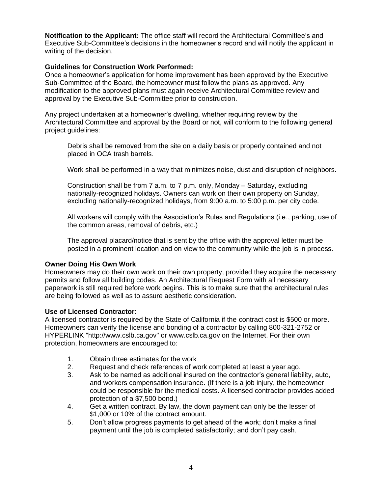**Notification to the Applicant:** The office staff will record the Architectural Committee's and Executive Sub-Committee's decisions in the homeowner's record and will notify the applicant in writing of the decision.

# **Guidelines for Construction Work Performed:**

Once a homeowner's application for home improvement has been approved by the Executive Sub-Committee of the Board, the homeowner must follow the plans as approved. Any modification to the approved plans must again receive Architectural Committee review and approval by the Executive Sub-Committee prior to construction.

Any project undertaken at a homeowner's dwelling, whether requiring review by the Architectural Committee and approval by the Board or not, will conform to the following general project guidelines:

Debris shall be removed from the site on a daily basis or properly contained and not placed in OCA trash barrels.

Work shall be performed in a way that minimizes noise, dust and disruption of neighbors.

Construction shall be from 7 a.m. to 7 p.m. only, Monday – Saturday, excluding nationally-recognized holidays. Owners can work on their own property on Sunday, excluding nationally-recognized holidays, from 9:00 a.m. to 5:00 p.m. per city code.

All workers will comply with the Association's Rules and Regulations (i.e., parking, use of the common areas, removal of debris, etc.)

The approval placard/notice that is sent by the office with the approval letter must be posted in a prominent location and on view to the community while the job is in process.

# **Owner Doing His Own Work**

Homeowners may do their own work on their own property, provided they acquire the necessary permits and follow all building codes. An Architectural Request Form with all necessary paperwork is still required before work begins. This is to make sure that the architectural rules are being followed as well as to assure aesthetic consideration.

# **Use of Licensed Contractor**:

A licensed contractor is required by the State of California if the contract cost is \$500 or more. Homeowners can verify the license and bonding of a contractor by calling 800-321-2752 or HYPERLINK "http://www.cslb.ca.gov" or www.cslb.ca.gov on the Internet. For their own protection, homeowners are encouraged to:

- 1. Obtain three estimates for the work
- 2. Request and check references of work completed at least a year ago.
- 3. Ask to be named as additional insured on the contractor's general liability, auto, and workers compensation insurance. (If there is a job injury, the homeowner could be responsible for the medical costs. A licensed contractor provides added protection of a \$7,500 bond.)
- 4. Get a written contract. By law, the down payment can only be the lesser of \$1,000 or 10% of the contract amount.
- 5. Don't allow progress payments to get ahead of the work; don't make a final payment until the job is completed satisfactorily; and don't pay cash.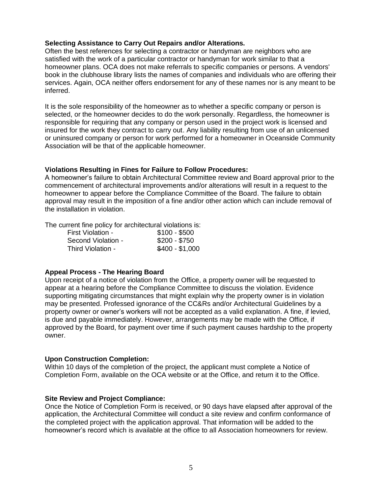# **Selecting Assistance to Carry Out Repairs and/or Alterations.**

Often the best references for selecting a contractor or handyman are neighbors who are satisfied with the work of a particular contractor or handyman for work similar to that a homeowner plans. OCA does not make referrals to specific companies or persons. A vendors' book in the clubhouse library lists the names of companies and individuals who are offering their services. Again, OCA neither offers endorsement for any of these names nor is any meant to be inferred.

It is the sole responsibility of the homeowner as to whether a specific company or person is selected, or the homeowner decides to do the work personally. Regardless, the homeowner is responsible for requiring that any company or person used in the project work is licensed and insured for the work they contract to carry out. Any liability resulting from use of an unlicensed or uninsured company or person for work performed for a homeowner in Oceanside Community Association will be that of the applicable homeowner.

# **Violations Resulting in Fines for Failure to Follow Procedures:**

A homeowner's failure to obtain Architectural Committee review and Board approval prior to the commencement of architectural improvements and/or alterations will result in a request to the homeowner to appear before the Compliance Committee of the Board. The failure to obtain approval may result in the imposition of a fine and/or other action which can include removal of the installation in violation.

The current fine policy for architectural violations is:

| First Violation -  | $$100 - $500$   |
|--------------------|-----------------|
| Second Violation - | $$200 - $750$   |
| Third Violation -  | $$400 - $1,000$ |

# **Appeal Process - The Hearing Board**

Upon receipt of a notice of violation from the Office, a property owner will be requested to appear at a hearing before the Compliance Committee to discuss the violation. Evidence supporting mitigating circumstances that might explain why the property owner is in violation may be presented. Professed ignorance of the CC&Rs and/or Architectural Guidelines by a property owner or owner's workers will not be accepted as a valid explanation. A fine, if levied, is due and payable immediately. However, arrangements may be made with the Office, if approved by the Board, for payment over time if such payment causes hardship to the property owner.

# **Upon Construction Completion:**

Within 10 days of the completion of the project, the applicant must complete a Notice of Completion Form, available on the OCA website or at the Office, and return it to the Office.

# **Site Review and Project Compliance:**

Once the Notice of Completion Form is received, or 90 days have elapsed after approval of the application, the Architectural Committee will conduct a site review and confirm conformance of the completed project with the application approval. That information will be added to the homeowner's record which is available at the office to all Association homeowners for review.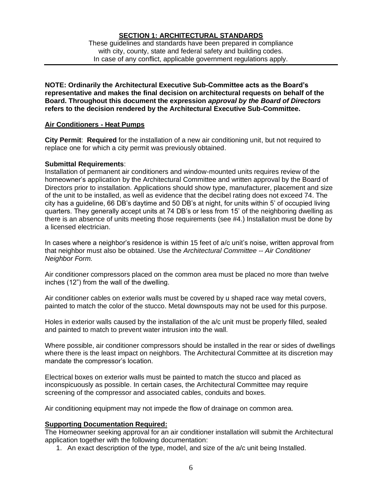# **SECTION 1: ARCHITECTURAL STANDARDS**

These guidelines and standards have been prepared in compliance with city, county, state and federal safety and building codes. In case of any conflict, applicable government regulations apply.

**NOTE: Ordinarily the Architectural Executive Sub-Committee acts as the Board's representative and makes the final decision on architectural requests on behalf of the Board. Throughout this document the expression** *approval by the Board of Directors* **refers to the decision rendered by the Architectural Executive Sub-Committee.**

# **Air Conditioners - Heat Pumps**

**City Permit**: **Required** for the installation of a new air conditioning unit, but not required to replace one for which a city permit was previously obtained.

#### **Submittal Requirements**:

Installation of permanent air conditioners and window-mounted units requires review of the homeowner's application by the Architectural Committee and written approval by the Board of Directors prior to installation. Applications should show type, manufacturer, placement and size of the unit to be installed, as well as evidence that the decibel rating does not exceed 74. The city has a guideline, 66 DB's daytime and 50 DB's at night, for units within 5' of occupied living quarters. They generally accept units at 74 DB's or less from 15' of the neighboring dwelling as there is an absence of units meeting those requirements (see #4.) Installation must be done by a licensed electrician.

In cases where a neighbor's residence is within 15 feet of a/c unit's noise, written approval from that neighbor must also be obtained. Use the *Architectural Committee -- Air Conditioner Neighbor Form.*

Air conditioner compressors placed on the common area must be placed no more than twelve inches (12") from the wall of the dwelling.

Air conditioner cables on exterior walls must be covered by u shaped race way metal covers, painted to match the color of the stucco. Metal downspouts may not be used for this purpose.

Holes in exterior walls caused by the installation of the a/c unit must be properly filled, sealed and painted to match to prevent water intrusion into the wall.

Where possible, air conditioner compressors should be installed in the rear or sides of dwellings where there is the least impact on neighbors. The Architectural Committee at its discretion may mandate the compressor's location.

Electrical boxes on exterior walls must be painted to match the stucco and placed as inconspicuously as possible. In certain cases, the Architectural Committee may require screening of the compressor and associated cables, conduits and boxes.

Air conditioning equipment may not impede the flow of drainage on common area.

# **Supporting Documentation Required:**

The Homeowner seeking approval for an air conditioner installation will submit the Architectural application together with the following documentation:

1. An exact description of the type, model, and size of the a/c unit being Installed.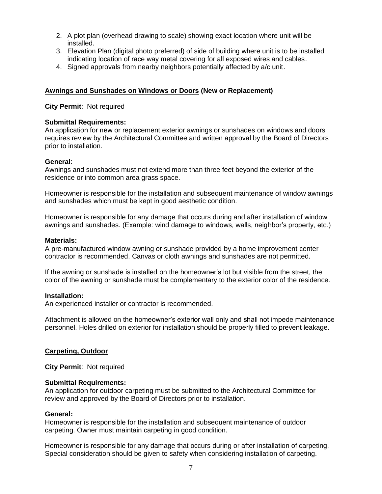- 2. A plot plan (overhead drawing to scale) showing exact location where unit will be installed.
- 3. Elevation Plan (digital photo preferred) of side of building where unit is to be installed indicating location of race way metal covering for all exposed wires and cables.
- 4. Signed approvals from nearby neighbors potentially affected by a/c unit.

# **Awnings and Sunshades on Windows or Doors (New or Replacement)**

**City Permit**: Not required

# **Submittal Requirements:**

An application for new or replacement exterior awnings or sunshades on windows and doors requires review by the Architectural Committee and written approval by the Board of Directors prior to installation.

# **General**:

Awnings and sunshades must not extend more than three feet beyond the exterior of the residence or into common area grass space.

Homeowner is responsible for the installation and subsequent maintenance of window awnings and sunshades which must be kept in good aesthetic condition.

Homeowner is responsible for any damage that occurs during and after installation of window awnings and sunshades. (Example: wind damage to windows, walls, neighbor's property, etc.)

#### **Materials:**

A pre-manufactured window awning or sunshade provided by a home improvement center contractor is recommended. Canvas or cloth awnings and sunshades are not permitted.

If the awning or sunshade is installed on the homeowner's lot but visible from the street, the color of the awning or sunshade must be complementary to the exterior color of the residence.

# **Installation:**

An experienced installer or contractor is recommended.

Attachment is allowed on the homeowner's exterior wall only and shall not impede maintenance personnel. Holes drilled on exterior for installation should be properly filled to prevent leakage.

# **Carpeting, Outdoor**

**City Permit**: Not required

# **Submittal Requirements:**

An application for outdoor carpeting must be submitted to the Architectural Committee for review and approved by the Board of Directors prior to installation.

#### **General:**

Homeowner is responsible for the installation and subsequent maintenance of outdoor carpeting. Owner must maintain carpeting in good condition.

Homeowner is responsible for any damage that occurs during or after installation of carpeting. Special consideration should be given to safety when considering installation of carpeting.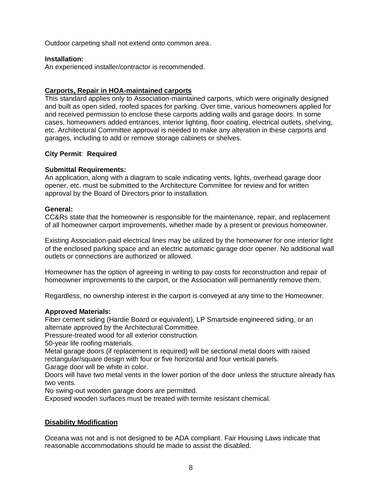Outdoor carpeting shall not extend onto common area.

# **Installation:**

An experienced installer/contractor is recommended.

# **Carports, Repair in HOA-maintained carports**

This standard applies only to Association-maintained carports, which were originally designed and built as open sided, roofed spaces for parking. Over time, various homeowners applied for and received permission to enclose these carports adding walls and garage doors. In some cases, homeowners added entrances, interior lighting, floor coating, electrical outlets, shelving, etc. Architectural Committee approval is needed to make any alteration in these carports and garages, including to add or remove storage cabinets or shelves.

# **City Permit**: **Required**

# **Submittal Requirements:**

An application, along with a diagram to scale indicating vents, lights, overhead garage door opener, etc. must be submitted to the Architecture Committee for review and for written approval by the Board of Directors prior to installation.

# **General:**

CC&Rs state that the homeowner is responsible for the maintenance, repair, and replacement of all homeowner carport improvements, whether made by a present or previous homeowner.

Existing Association-paid electrical lines may be utilized by the homeowner for one interior light of the enclosed parking space and an electric automatic garage door opener. No additional wall outlets or connections are authorized or allowed.

Homeowner has the option of agreeing in writing to pay costs for reconstruction and repair of homeowner improvements to the carport, or the Association will permanently remove them.

Regardless, no ownership interest in the carport is conveyed at any time to the Homeowner.

# **Approved Materials:**

Fiber cement siding (Hardie Board or equivalent), LP Smartside engineered siding, or an alternate approved by the Architectural Committee.

Pressure-treated wood for all exterior construction.

50-year life roofing materials.

Metal garage doors (if replacement is required) will be sectional metal doors with raised rectangular/square design with four or five horizontal and four vertical panels.

Garage door will be white in color.

Doors will have two metal vents in the lower portion of the door unless the structure already has two vents.

No swing-out wooden garage doors are permitted.

Exposed wooden surfaces must be treated with termite resistant chemical.

# **Disability Modification**

Oceana was not and is not designed to be ADA compliant. Fair Housing Laws indicate that reasonable accommodations should be made to assist the disabled.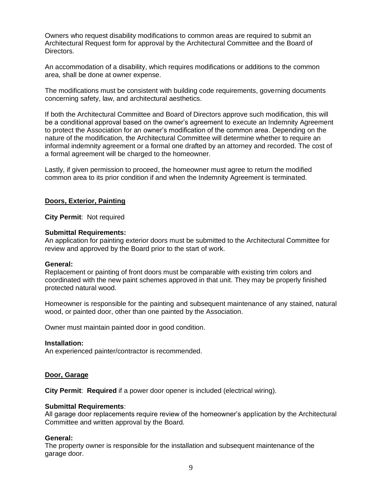Owners who request disability modifications to common areas are required to submit an Architectural Request form for approval by the Architectural Committee and the Board of Directors.

An accommodation of a disability, which requires modifications or additions to the common area, shall be done at owner expense.

The modifications must be consistent with building code requirements, governing documents concerning safety, law, and architectural aesthetics.

If both the Architectural Committee and Board of Directors approve such modification, this will be a conditional approval based on the owner's agreement to execute an Indemnity Agreement to protect the Association for an owner's modification of the common area. Depending on the nature of the modification, the Architectural Committee will determine whether to require an informal indemnity agreement or a formal one drafted by an attorney and recorded. The cost of a formal agreement will be charged to the homeowner.

Lastly, if given permission to proceed, the homeowner must agree to return the modified common area to its prior condition if and when the Indemnity Agreement is terminated.

# **Doors, Exterior, Painting**

**City Permit**: Not required

#### **Submittal Requirements:**

An application for painting exterior doors must be submitted to the Architectural Committee for review and approved by the Board prior to the start of work.

#### **General:**

Replacement or painting of front doors must be comparable with existing trim colors and coordinated with the new paint schemes approved in that unit. They may be properly finished protected natural wood.

Homeowner is responsible for the painting and subsequent maintenance of any stained, natural wood, or painted door, other than one painted by the Association.

Owner must maintain painted door in good condition.

#### **Installation:**

An experienced painter/contractor is recommended.

# **Door, Garage**

**City Permit**: **Required** if a power door opener is included (electrical wiring).

#### **Submittal Requirements**:

All garage door replacements require review of the homeowner's application by the Architectural Committee and written approval by the Board.

# **General:**

The property owner is responsible for the installation and subsequent maintenance of the garage door.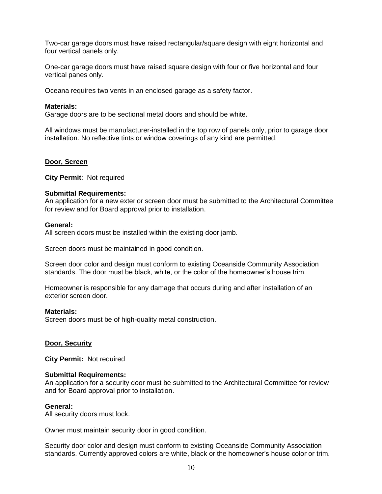Two-car garage doors must have raised rectangular/square design with eight horizontal and four vertical panels only.

One-car garage doors must have raised square design with four or five horizontal and four vertical panes only.

Oceana requires two vents in an enclosed garage as a safety factor.

#### **Materials:**

Garage doors are to be sectional metal doors and should be white.

All windows must be manufacturer-installed in the top row of panels only, prior to garage door installation. No reflective tints or window coverings of any kind are permitted.

#### **Door, Screen**

**City Permit**: Not required

#### **Submittal Requirements:**

An application for a new exterior screen door must be submitted to the Architectural Committee for review and for Board approval prior to installation.

#### **General:**

All screen doors must be installed within the existing door jamb.

Screen doors must be maintained in good condition.

Screen door color and design must conform to existing Oceanside Community Association standards. The door must be black, white, or the color of the homeowner's house trim.

Homeowner is responsible for any damage that occurs during and after installation of an exterior screen door.

#### **Materials:**

Screen doors must be of high-quality metal construction.

# **Door, Security**

**City Permit:** Not required

#### **Submittal Requirements:**

An application for a security door must be submitted to the Architectural Committee for review and for Board approval prior to installation.

#### **General:**

All security doors must lock.

Owner must maintain security door in good condition.

Security door color and design must conform to existing Oceanside Community Association standards. Currently approved colors are white, black or the homeowner's house color or trim.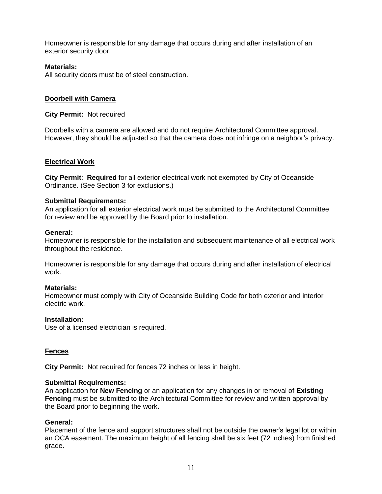Homeowner is responsible for any damage that occurs during and after installation of an exterior security door.

# **Materials:**

All security doors must be of steel construction.

# **Doorbell with Camera**

**City Permit:** Not required

Doorbells with a camera are allowed and do not require Architectural Committee approval. However, they should be adjusted so that the camera does not infringe on a neighbor's privacy.

# **Electrical Work**

**City Permit**: **Required** for all exterior electrical work not exempted by City of Oceanside Ordinance. (See Section 3 for exclusions.)

# **Submittal Requirements:**

An application for all exterior electrical work must be submitted to the Architectural Committee for review and be approved by the Board prior to installation.

# **General:**

Homeowner is responsible for the installation and subsequent maintenance of all electrical work throughout the residence.

Homeowner is responsible for any damage that occurs during and after installation of electrical work.

# **Materials:**

Homeowner must comply with City of Oceanside Building Code for both exterior and interior electric work.

# **Installation:**

Use of a licensed electrician is required.

# **Fences**

**City Permit:** Not required for fences 72 inches or less in height.

# **Submittal Requirements:**

An application for **New Fencing** or an application for any changes in or removal of **Existing Fencing** must be submitted to the Architectural Committee for review and written approval by the Board prior to beginning the work**.**

# **General:**

Placement of the fence and support structures shall not be outside the owner's legal lot or within an OCA easement. The maximum height of all fencing shall be six feet (72 inches) from finished grade.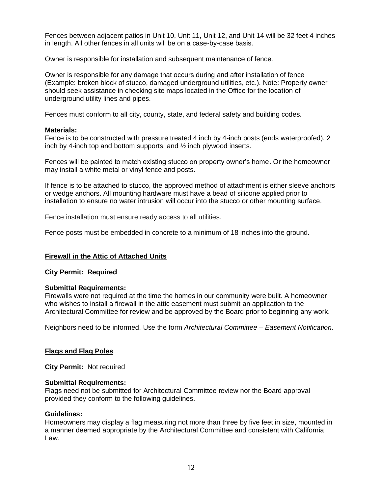Fences between adjacent patios in Unit 10, Unit 11, Unit 12, and Unit 14 will be 32 feet 4 inches in length. All other fences in all units will be on a case-by-case basis.

Owner is responsible for installation and subsequent maintenance of fence.

Owner is responsible for any damage that occurs during and after installation of fence (Example: broken block of stucco, damaged underground utilities, etc.). Note: Property owner should seek assistance in checking site maps located in the Office for the location of underground utility lines and pipes.

Fences must conform to all city, county, state, and federal safety and building codes.

# **Materials:**

Fence is to be constructed with pressure treated 4 inch by 4-inch posts (ends waterproofed), 2 inch by 4-inch top and bottom supports, and ½ inch plywood inserts.

Fences will be painted to match existing stucco on property owner's home. Or the homeowner may install a white metal or vinyl fence and posts.

If fence is to be attached to stucco, the approved method of attachment is either sleeve anchors or wedge anchors. All mounting hardware must have a bead of silicone applied prior to installation to ensure no water intrusion will occur into the stucco or other mounting surface.

Fence installation must ensure ready access to all utilities.

Fence posts must be embedded in concrete to a minimum of 18 inches into the ground.

# **Firewall in the Attic of Attached Units**

# **City Permit: Required**

# **Submittal Requirements:**

Firewalls were not required at the time the homes in our community were built. A homeowner who wishes to install a firewall in the attic easement must submit an application to the Architectural Committee for review and be approved by the Board prior to beginning any work.

Neighbors need to be informed. Use the form *Architectural Committee – Easement Notification.*

# **Flags and Flag Poles**

**City Permit:** Not required

# **Submittal Requirements:**

Flags need not be submitted for Architectural Committee review nor the Board approval provided they conform to the following guidelines.

# **Guidelines:**

Homeowners may display a flag measuring not more than three by five feet in size, mounted in a manner deemed appropriate by the Architectural Committee and consistent with California Law.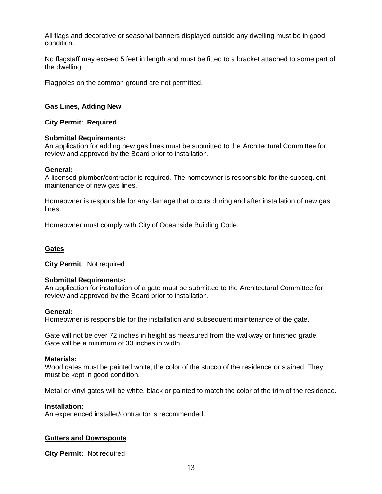All flags and decorative or seasonal banners displayed outside any dwelling must be in good condition.

No flagstaff may exceed 5 feet in length and must be fitted to a bracket attached to some part of the dwelling.

Flagpoles on the common ground are not permitted.

# **Gas Lines, Adding New**

**City Permit**: **Required**

# **Submittal Requirements:**

An application for adding new gas lines must be submitted to the Architectural Committee for review and approved by the Board prior to installation.

# **General:**

A licensed plumber/contractor is required. The homeowner is responsible for the subsequent maintenance of new gas lines.

Homeowner is responsible for any damage that occurs during and after installation of new gas lines.

Homeowner must comply with City of Oceanside Building Code.

# **Gates**

**City Permit**: Not required

# **Submittal Requirements:**

An application for installation of a gate must be submitted to the Architectural Committee for review and approved by the Board prior to installation.

# **General:**

Homeowner is responsible for the installation and subsequent maintenance of the gate.

Gate will not be over 72 inches in height as measured from the walkway or finished grade. Gate will be a minimum of 30 inches in width.

# **Materials:**

Wood gates must be painted white, the color of the stucco of the residence or stained. They must be kept in good condition.

Metal or vinyl gates will be white, black or painted to match the color of the trim of the residence.

# **Installation:**

An experienced installer/contractor is recommended.

# **Gutters and Downspouts**

**City Permit:** Not required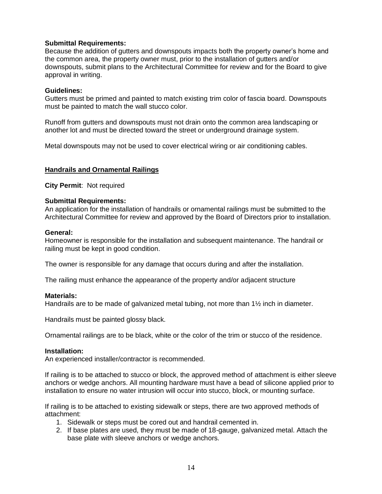# **Submittal Requirements:**

Because the addition of gutters and downspouts impacts both the property owner's home and the common area, the property owner must, prior to the installation of gutters and/or downspouts, submit plans to the Architectural Committee for review and for the Board to give approval in writing.

# **Guidelines:**

Gutters must be primed and painted to match existing trim color of fascia board. Downspouts must be painted to match the wall stucco color.

Runoff from gutters and downspouts must not drain onto the common area landscaping or another lot and must be directed toward the street or underground drainage system.

Metal downspouts may not be used to cover electrical wiring or air conditioning cables.

# **Handrails and Ornamental Railings**

**City Permit**: Not required

# **Submittal Requirements:**

An application for the installation of handrails or ornamental railings must be submitted to the Architectural Committee for review and approved by the Board of Directors prior to installation.

# **General:**

Homeowner is responsible for the installation and subsequent maintenance. The handrail or railing must be kept in good condition.

The owner is responsible for any damage that occurs during and after the installation.

The railing must enhance the appearance of the property and/or adjacent structure

# **Materials:**

Handrails are to be made of galvanized metal tubing, not more than 1½ inch in diameter.

Handrails must be painted glossy black.

Ornamental railings are to be black, white or the color of the trim or stucco of the residence.

# **Installation:**

An experienced installer/contractor is recommended.

If railing is to be attached to stucco or block, the approved method of attachment is either sleeve anchors or wedge anchors. All mounting hardware must have a bead of silicone applied prior to installation to ensure no water intrusion will occur into stucco, block, or mounting surface.

If railing is to be attached to existing sidewalk or steps, there are two approved methods of attachment:

- 1. Sidewalk or steps must be cored out and handrail cemented in.
- 2. If base plates are used, they must be made of 18-gauge, galvanized metal. Attach the base plate with sleeve anchors or wedge anchors.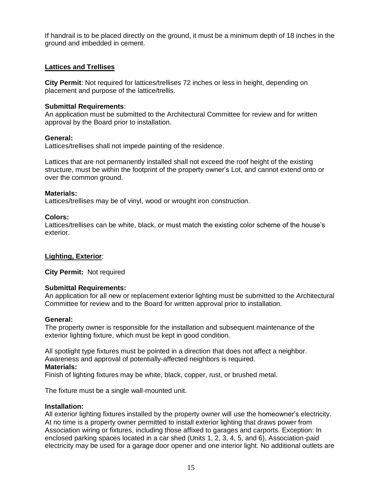If handrail is to be placed directly on the ground, it must be a minimum depth of 18 inches in the ground and imbedded in cement.

# **Lattices and Trellises**

**City Permit**: Not required for lattices/trellises 72 inches or less in height, depending on placement and purpose of the lattice/trellis.

# **Submittal Requirements**:

An application must be submitted to the Architectural Committee for review and for written approval by the Board prior to installation.

# **General:**

Lattices/trellises shall not impede painting of the residence.

Lattices that are not permanently installed shall not exceed the roof height of the existing structure, must be within the footprint of the property owner's Lot, and cannot extend onto or over the common ground.

# **Materials:**

Lattices/trellises may be of vinyl, wood or wrought iron construction.

# **Colors:**

Lattices/trellises can be white, black, or must match the existing color scheme of the house's exterior.

# **Lighting, Exterior**:

**City Permit:** Not required

# **Submittal Requirements:**

An application for all new or replacement exterior lighting must be submitted to the Architectural Committee for review and to the Board for written approval prior to installation.

# **General:**

The property owner is responsible for the installation and subsequent maintenance of the exterior lighting fixture, which must be kept in good condition.

All spotlight type fixtures must be pointed in a direction that does not affect a neighbor. Awareness and approval of potentially-affected neighbors is required. **Materials:**

Finish of lighting fixtures may be white, black, copper, rust, or brushed metal.

The fixture must be a single wall-mounted unit.

# **Installation:**

All exterior lighting fixtures installed by the property owner will use the homeowner's electricity. At no time is a property owner permitted to install exterior lighting that draws power from Association wiring or fixtures, including those affixed to garages and carports. Exception: In enclosed parking spaces located in a car shed (Units 1, 2, 3, 4, 5, and 6), Association-paid electricity may be used for a garage door opener and one interior light. No additional outlets are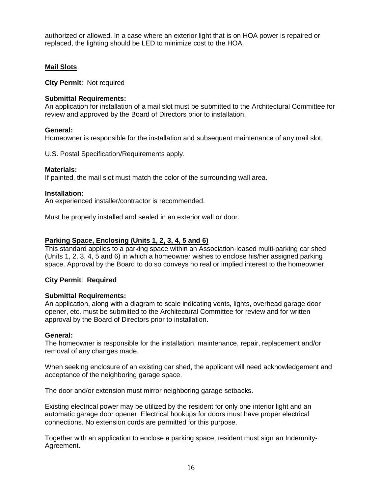authorized or allowed. In a case where an exterior light that is on HOA power is repaired or replaced, the lighting should be LED to minimize cost to the HOA.

# **Mail Slots**

**City Permit**: Not required

# **Submittal Requirements:**

An application for installation of a mail slot must be submitted to the Architectural Committee for review and approved by the Board of Directors prior to installation.

# **General:**

Homeowner is responsible for the installation and subsequent maintenance of any mail slot.

U.S. Postal Specification/Requirements apply.

# **Materials:**

If painted, the mail slot must match the color of the surrounding wall area.

# **Installation:**

An experienced installer/contractor is recommended.

Must be properly installed and sealed in an exterior wall or door.

# **Parking Space, Enclosing (Units 1, 2, 3, 4, 5 and 6)**

This standard applies to a parking space within an Association-leased multi-parking car shed (Units 1, 2, 3, 4, 5 and 6) in which a homeowner wishes to enclose his/her assigned parking space. Approval by the Board to do so conveys no real or implied interest to the homeowner.

# **City Permit**: **Required**

# **Submittal Requirements:**

An application, along with a diagram to scale indicating vents, lights, overhead garage door opener, etc. must be submitted to the Architectural Committee for review and for written approval by the Board of Directors prior to installation.

# **General:**

The homeowner is responsible for the installation, maintenance, repair, replacement and/or removal of any changes made.

When seeking enclosure of an existing car shed, the applicant will need acknowledgement and acceptance of the neighboring garage space.

The door and/or extension must mirror neighboring garage setbacks.

Existing electrical power may be utilized by the resident for only one interior light and an automatic garage door opener. Electrical hookups for doors must have proper electrical connections. No extension cords are permitted for this purpose.

Together with an application to enclose a parking space, resident must sign an Indemnity-Agreement.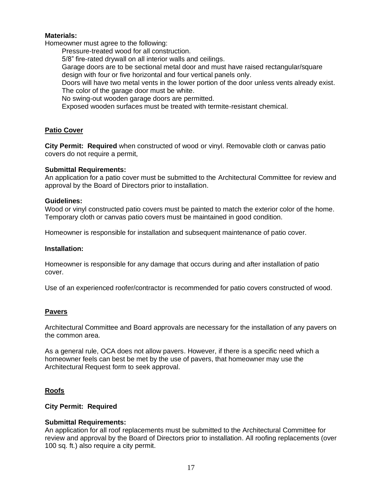# **Materials:**

Homeowner must agree to the following:

Pressure-treated wood for all construction.

5/8" fire-rated drywall on all interior walls and ceilings.

Garage doors are to be sectional metal door and must have raised rectangular/square design with four or five horizontal and four vertical panels only.

Doors will have two metal vents in the lower portion of the door unless vents already exist. The color of the garage door must be white.

No swing-out wooden garage doors are permitted.

Exposed wooden surfaces must be treated with termite-resistant chemical.

# **Patio Cover**

**City Permit: Required** when constructed of wood or vinyl. Removable cloth or canvas patio covers do not require a permit,

#### **Submittal Requirements:**

An application for a patio cover must be submitted to the Architectural Committee for review and approval by the Board of Directors prior to installation.

#### **Guidelines:**

Wood or vinyl constructed patio covers must be painted to match the exterior color of the home. Temporary cloth or canvas patio covers must be maintained in good condition.

Homeowner is responsible for installation and subsequent maintenance of patio cover.

#### **Installation:**

Homeowner is responsible for any damage that occurs during and after installation of patio cover.

Use of an experienced roofer/contractor is recommended for patio covers constructed of wood.

# **Pavers**

Architectural Committee and Board approvals are necessary for the installation of any pavers on the common area.

As a general rule, OCA does not allow pavers. However, if there is a specific need which a homeowner feels can best be met by the use of pavers, that homeowner may use the Architectural Request form to seek approval.

# **Roofs**

# **City Permit: Required**

# **Submittal Requirements:**

An application for all roof replacements must be submitted to the Architectural Committee for review and approval by the Board of Directors prior to installation. All roofing replacements (over 100 sq. ft.) also require a city permit.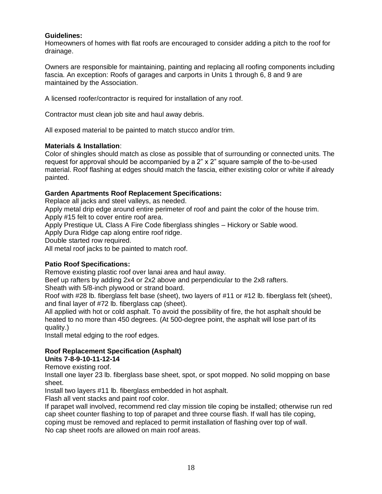# **Guidelines:**

Homeowners of homes with flat roofs are encouraged to consider adding a pitch to the roof for drainage.

Owners are responsible for maintaining, painting and replacing all roofing components including fascia. An exception: Roofs of garages and carports in Units 1 through 6, 8 and 9 are maintained by the Association.

A licensed roofer/contractor is required for installation of any roof.

Contractor must clean job site and haul away debris.

All exposed material to be painted to match stucco and/or trim.

# **Materials & Installation**:

Color of shingles should match as close as possible that of surrounding or connected units. The request for approval should be accompanied by a 2" x 2" square sample of the to-be-used material. Roof flashing at edges should match the fascia, either existing color or white if already painted.

# **Garden Apartments Roof Replacement Specifications:**

Replace all jacks and steel valleys, as needed.

Apply metal drip edge around entire perimeter of roof and paint the color of the house trim. Apply #15 felt to cover entire roof area.

Apply Prestique UL Class A Fire Code fiberglass shingles – Hickory or Sable wood.

Apply Dura Ridge cap along entire roof ridge.

Double started row required.

All metal roof jacks to be painted to match roof.

# **Patio Roof Specifications:**

Remove existing plastic roof over lanai area and haul away.

Beef up rafters by adding 2x4 or 2x2 above and perpendicular to the 2x8 rafters.

Sheath with 5/8-inch plywood or strand board.

Roof with #28 lb. fiberglass felt base (sheet), two layers of #11 or #12 lb. fiberglass felt (sheet), and final layer of #72 lb. fiberglass cap (sheet).

All applied with hot or cold asphalt. To avoid the possibility of fire, the hot asphalt should be heated to no more than 450 degrees. (At 500-degree point, the asphalt will lose part of its quality.)

Install metal edging to the roof edges.

# **Roof Replacement Specification (Asphalt)**

**Units 7-8-9-10-11-12-14** 

Remove existing roof.

Install one layer 23 lb. fiberglass base sheet, spot, or spot mopped. No solid mopping on base sheet.

Install two layers #11 lb. fiberglass embedded in hot asphalt.

Flash all vent stacks and paint roof color.

If parapet wall involved, recommend red clay mission tile coping be installed; otherwise run red cap sheet counter flashing to top of parapet and three course flash. If wall has tile coping, coping must be removed and replaced to permit installation of flashing over top of wall.

No cap sheet roofs are allowed on main roof areas.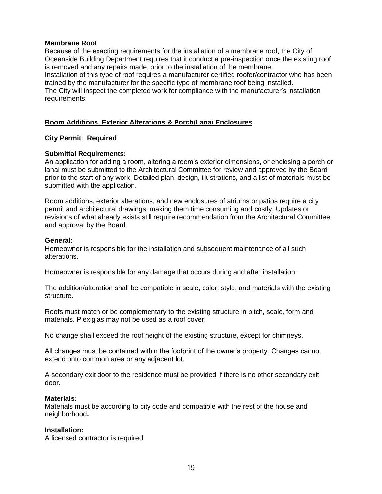# **Membrane Roof**

Because of the exacting requirements for the installation of a membrane roof, the City of Oceanside Building Department requires that it conduct a pre-inspection once the existing roof is removed and any repairs made, prior to the installation of the membrane. Installation of this type of roof requires a manufacturer certified roofer/contractor who has been

trained by the manufacturer for the specific type of membrane roof being installed. The City will inspect the completed work for compliance with the manufacturer's installation requirements.

# **Room Additions, Exterior Alterations & Porch/Lanai Enclosures**

# **City Permit**: **Required**

# **Submittal Requirements:**

An application for adding a room, altering a room's exterior dimensions, or enclosing a porch or lanai must be submitted to the Architectural Committee for review and approved by the Board prior to the start of any work. Detailed plan, design, illustrations, and a list of materials must be submitted with the application.

Room additions, exterior alterations, and new enclosures of atriums or patios require a city permit and architectural drawings, making them time consuming and costly. Updates or revisions of what already exists still require recommendation from the Architectural Committee and approval by the Board.

# **General:**

Homeowner is responsible for the installation and subsequent maintenance of all such alterations.

Homeowner is responsible for any damage that occurs during and after installation.

The addition/alteration shall be compatible in scale, color, style, and materials with the existing structure.

Roofs must match or be complementary to the existing structure in pitch, scale, form and materials. Plexiglas may not be used as a roof cover.

No change shall exceed the roof height of the existing structure, except for chimneys.

All changes must be contained within the footprint of the owner's property. Changes cannot extend onto common area or any adjacent lot.

A secondary exit door to the residence must be provided if there is no other secondary exit door.

# **Materials:**

Materials must be according to city code and compatible with the rest of the house and neighborhood**.**

# **Installation:**

A licensed contractor is required.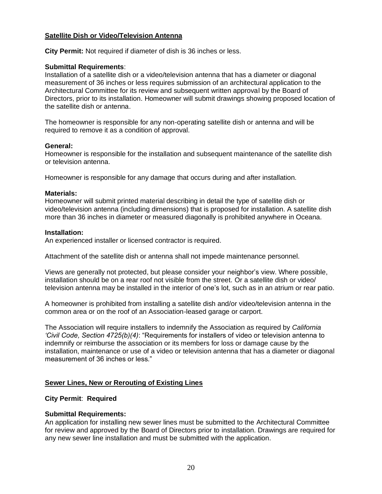# **Satellite Dish or Video/Television Antenna**

**City Permit:** Not required if diameter of dish is 36 inches or less.

# **Submittal Requirements**:

Installation of a satellite dish or a video/television antenna that has a diameter or diagonal measurement of 36 inches or less requires submission of an architectural application to the Architectural Committee for its review and subsequent written approval by the Board of Directors, prior to its installation. Homeowner will submit drawings showing proposed location of the satellite dish or antenna.

The homeowner is responsible for any non-operating satellite dish or antenna and will be required to remove it as a condition of approval.

#### **General:**

Homeowner is responsible for the installation and subsequent maintenance of the satellite dish or television antenna.

Homeowner is responsible for any damage that occurs during and after installation.

#### **Materials:**

Homeowner will submit printed material describing in detail the type of satellite dish or video/television antenna (including dimensions) that is proposed for installation. A satellite dish more than 36 inches in diameter or measured diagonally is prohibited anywhere in Oceana.

# **Installation:**

An experienced installer or licensed contractor is required.

Attachment of the satellite dish or antenna shall not impede maintenance personnel.

Views are generally not protected, but please consider your neighbor's view. Where possible, installation should be on a rear roof not visible from the street. Or a satellite dish or video/ television antenna may be installed in the interior of one's lot, such as in an atrium or rear patio.

A homeowner is prohibited from installing a satellite dish and/or video/television antenna in the common area or on the roof of an Association-leased garage or carport.

The Association will require installers to indemnify the Association as required by *California 'Civil Code, Section 4725(b)(4)*: "Requirements for installers of video or television antenna to indemnify or reimburse the association or its members for loss or damage cause by the installation, maintenance or use of a video or television antenna that has a diameter or diagonal measurement of 36 inches or less."

# **Sewer Lines, New or Rerouting of Existing Lines**

# **City Permit**: **Required**

# **Submittal Requirements:**

An application for installing new sewer lines must be submitted to the Architectural Committee for review and approved by the Board of Directors prior to installation. Drawings are required for any new sewer line installation and must be submitted with the application.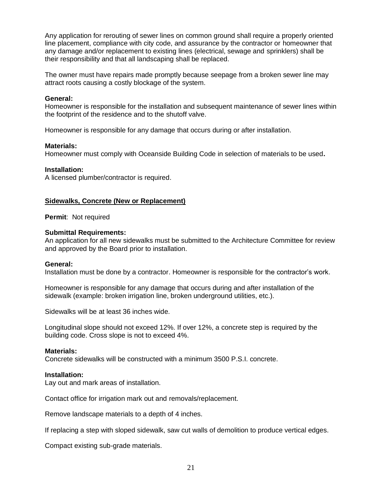Any application for rerouting of sewer lines on common ground shall require a properly oriented line placement, compliance with city code, and assurance by the contractor or homeowner that any damage and/or replacement to existing lines (electrical, sewage and sprinklers) shall be their responsibility and that all landscaping shall be replaced.

The owner must have repairs made promptly because seepage from a broken sewer line may attract roots causing a costly blockage of the system.

# **General:**

Homeowner is responsible for the installation and subsequent maintenance of sewer lines within the footprint of the residence and to the shutoff valve.

Homeowner is responsible for any damage that occurs during or after installation.

# **Materials:**

Homeowner must comply with Oceanside Building Code in selection of materials to be used**.**

#### **Installation:**

A licensed plumber/contractor is required.

#### **Sidewalks, Concrete (New or Replacement)**

**Permit**: Not required

#### **Submittal Requirements:**

An application for all new sidewalks must be submitted to the Architecture Committee for review and approved by the Board prior to installation.

#### **General:**

Installation must be done by a contractor. Homeowner is responsible for the contractor's work.

Homeowner is responsible for any damage that occurs during and after installation of the sidewalk (example: broken irrigation line, broken underground utilities, etc.).

Sidewalks will be at least 36 inches wide.

Longitudinal slope should not exceed 12%. If over 12%, a concrete step is required by the building code. Cross slope is not to exceed 4%.

#### **Materials:**

Concrete sidewalks will be constructed with a minimum 3500 P.S.I. concrete.

# **Installation:**

Lay out and mark areas of installation.

Contact office for irrigation mark out and removals/replacement.

Remove landscape materials to a depth of 4 inches.

If replacing a step with sloped sidewalk, saw cut walls of demolition to produce vertical edges.

Compact existing sub-grade materials.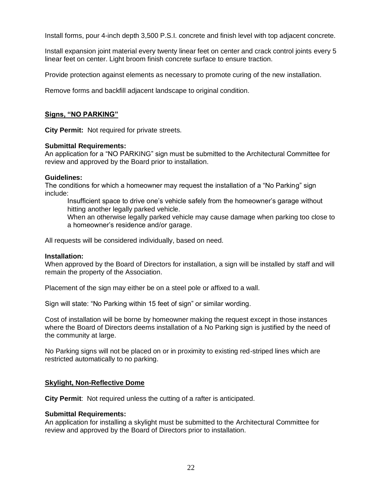Install forms, pour 4-inch depth 3,500 P.S.I. concrete and finish level with top adjacent concrete.

Install expansion joint material every twenty linear feet on center and crack control joints every 5 linear feet on center. Light broom finish concrete surface to ensure traction.

Provide protection against elements as necessary to promote curing of the new installation.

Remove forms and backfill adjacent landscape to original condition.

# **Signs, "NO PARKING"**

**City Permit:** Not required for private streets.

#### **Submittal Requirements:**

An application for a "NO PARKING" sign must be submitted to the Architectural Committee for review and approved by the Board prior to installation.

#### **Guidelines:**

The conditions for which a homeowner may request the installation of a "No Parking" sign include:

Insufficient space to drive one's vehicle safely from the homeowner's garage without hitting another legally parked vehicle.

When an otherwise legally parked vehicle may cause damage when parking too close to a homeowner's residence and/or garage.

All requests will be considered individually, based on need.

#### **Installation:**

When approved by the Board of Directors for installation, a sign will be installed by staff and will remain the property of the Association.

Placement of the sign may either be on a steel pole or affixed to a wall.

Sign will state: "No Parking within 15 feet of sign" or similar wording.

Cost of installation will be borne by homeowner making the request except in those instances where the Board of Directors deems installation of a No Parking sign is justified by the need of the community at large.

No Parking signs will not be placed on or in proximity to existing red-striped lines which are restricted automatically to no parking.

# **Skylight, Non-Reflective Dome**

**City Permit**: Not required unless the cutting of a rafter is anticipated.

# **Submittal Requirements:**

An application for installing a skylight must be submitted to the Architectural Committee for review and approved by the Board of Directors prior to installation.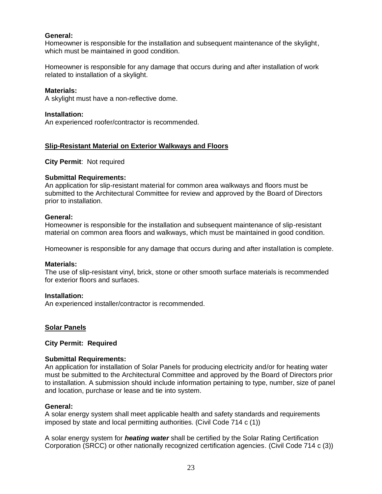# **General:**

Homeowner is responsible for the installation and subsequent maintenance of the skylight, which must be maintained in good condition.

Homeowner is responsible for any damage that occurs during and after installation of work related to installation of a skylight.

### **Materials:**

A skylight must have a non-reflective dome.

#### **Installation:**

An experienced roofer/contractor is recommended.

# **Slip-Resistant Material on Exterior Walkways and Floors**

**City Permit**: Not required

#### **Submittal Requirements:**

An application for slip-resistant material for common area walkways and floors must be submitted to the Architectural Committee for review and approved by the Board of Directors prior to installation.

#### **General:**

Homeowner is responsible for the installation and subsequent maintenance of slip-resistant material on common area floors and walkways, which must be maintained in good condition.

Homeowner is responsible for any damage that occurs during and after installation is complete.

#### **Materials:**

The use of slip-resistant vinyl, brick, stone or other smooth surface materials is recommended for exterior floors and surfaces.

# **Installation:**

An experienced installer/contractor is recommended.

# **Solar Panels**

# **City Permit: Required**

# **Submittal Requirements:**

An application for installation of Solar Panels for producing electricity and/or for heating water must be submitted to the Architectural Committee and approved by the Board of Directors prior to installation. A submission should include information pertaining to type, number, size of panel and location, purchase or lease and tie into system.

#### **General:**

A solar energy system shall meet applicable health and safety standards and requirements imposed by state and local permitting authorities. (Civil Code 714 c (1))

A solar energy system for *heating water* shall be certified by the Solar Rating Certification Corporation (SRCC) or other nationally recognized certification agencies. (Civil Code 714 c (3))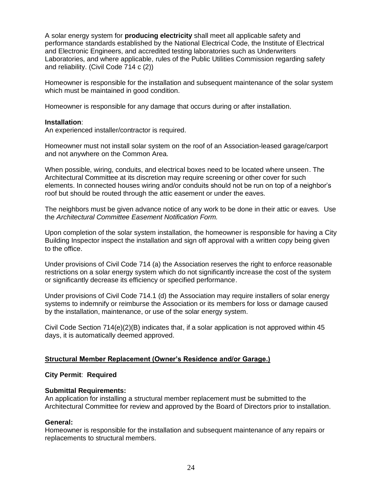A solar energy system for **producing electricity** shall meet all applicable safety and performance standards established by the National Electrical Code, the Institute of Electrical and Electronic Engineers, and accredited testing laboratories such as Underwriters Laboratories, and where applicable, rules of the Public Utilities Commission regarding safety and reliability. (Civil Code 714 c (2))

Homeowner is responsible for the installation and subsequent maintenance of the solar system which must be maintained in good condition.

Homeowner is responsible for any damage that occurs during or after installation.

# **Installation**:

An experienced installer/contractor is required.

Homeowner must not install solar system on the roof of an Association-leased garage/carport and not anywhere on the Common Area.

When possible, wiring, conduits, and electrical boxes need to be located where unseen. The Architectural Committee at its discretion may require screening or other cover for such elements. In connected houses wiring and/or conduits should not be run on top of a neighbor's roof but should be routed through the attic easement or under the eaves.

The neighbors must be given advance notice of any work to be done in their attic or eaves. Use the *Architectural Committee Easement Notification Form.*

Upon completion of the solar system installation, the homeowner is responsible for having a City Building Inspector inspect the installation and sign off approval with a written copy being given to the office.

Under provisions of Civil Code 714 (a) the Association reserves the right to enforce reasonable restrictions on a solar energy system which do not significantly increase the cost of the system or significantly decrease its efficiency or specified performance.

Under provisions of Civil Code 714.1 (d) the Association may require installers of solar energy systems to indemnify or reimburse the Association or its members for loss or damage caused by the installation, maintenance, or use of the solar energy system.

Civil Code Section  $714(e)(2)(B)$  indicates that, if a solar application is not approved within 45 days, it is automatically deemed approved.

# **Structural Member Replacement (Owner's Residence and/or Garage.)**

# **City Permit**: **Required**

# **Submittal Requirements:**

An application for installing a structural member replacement must be submitted to the Architectural Committee for review and approved by the Board of Directors prior to installation.

# **General:**

Homeowner is responsible for the installation and subsequent maintenance of any repairs or replacements to structural members.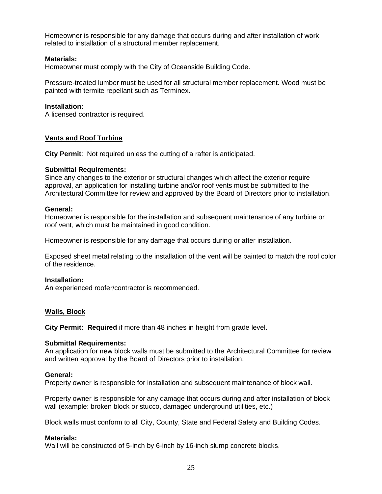Homeowner is responsible for any damage that occurs during and after installation of work related to installation of a structural member replacement.

# **Materials:**

Homeowner must comply with the City of Oceanside Building Code.

Pressure-treated lumber must be used for all structural member replacement. Wood must be painted with termite repellant such as Terminex.

# **Installation:**

A licensed contractor is required.

# **Vents and Roof Turbine**

**City Permit**: Not required unless the cutting of a rafter is anticipated.

# **Submittal Requirements:**

Since any changes to the exterior or structural changes which affect the exterior require approval, an application for installing turbine and/or roof vents must be submitted to the Architectural Committee for review and approved by the Board of Directors prior to installation.

#### **General:**

Homeowner is responsible for the installation and subsequent maintenance of any turbine or roof vent, which must be maintained in good condition.

Homeowner is responsible for any damage that occurs during or after installation.

Exposed sheet metal relating to the installation of the vent will be painted to match the roof color of the residence.

# **Installation:**

An experienced roofer/contractor is recommended.

# **Walls, Block**

**City Permit: Required** if more than 48 inches in height from grade level.

# **Submittal Requirements:**

An application for new block walls must be submitted to the Architectural Committee for review and written approval by the Board of Directors prior to installation.

# **General:**

Property owner is responsible for installation and subsequent maintenance of block wall.

Property owner is responsible for any damage that occurs during and after installation of block wall (example: broken block or stucco, damaged underground utilities, etc.)

Block walls must conform to all City, County, State and Federal Safety and Building Codes.

# **Materials:**

Wall will be constructed of 5-inch by 6-inch by 16-inch slump concrete blocks.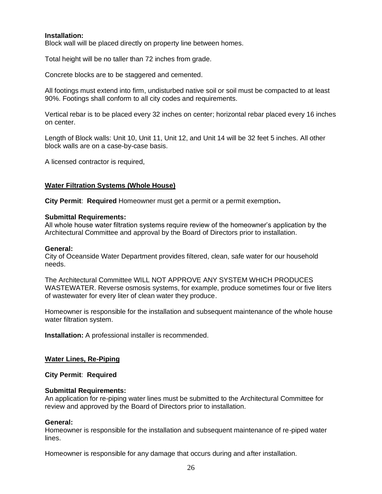# **Installation:**

Block wall will be placed directly on property line between homes.

Total height will be no taller than 72 inches from grade.

Concrete blocks are to be staggered and cemented.

All footings must extend into firm, undisturbed native soil or soil must be compacted to at least 90%. Footings shall conform to all city codes and requirements.

Vertical rebar is to be placed every 32 inches on center; horizontal rebar placed every 16 inches on center.

Length of Block walls: Unit 10, Unit 11, Unit 12, and Unit 14 will be 32 feet 5 inches. All other block walls are on a case-by-case basis.

A licensed contractor is required,

# **Water Filtration Systems (Whole House)**

**City Permit**: **Required** Homeowner must get a permit or a permit exemption**.**

#### **Submittal Requirements:**

All whole house water filtration systems require review of the homeowner's application by the Architectural Committee and approval by the Board of Directors prior to installation.

#### **General:**

City of Oceanside Water Department provides filtered, clean, safe water for our household needs.

The Architectural Committee WILL NOT APPROVE ANY SYSTEM WHICH PRODUCES WASTEWATER. Reverse osmosis systems, for example, produce sometimes four or five liters of wastewater for every liter of clean water they produce.

Homeowner is responsible for the installation and subsequent maintenance of the whole house water filtration system.

**Installation:** A professional installer is recommended.

# **Water Lines, Re-Piping**

**City Permit**: **Required**

# **Submittal Requirements:**

An application for re-piping water lines must be submitted to the Architectural Committee for review and approved by the Board of Directors prior to installation.

#### **General:**

Homeowner is responsible for the installation and subsequent maintenance of re-piped water lines.

Homeowner is responsible for any damage that occurs during and after installation.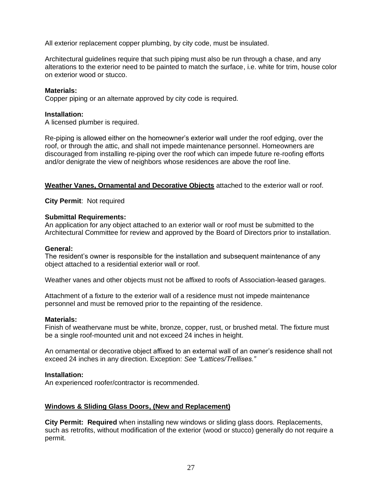All exterior replacement copper plumbing, by city code, must be insulated.

Architectural guidelines require that such piping must also be run through a chase, and any alterations to the exterior need to be painted to match the surface, i.e. white for trim, house color on exterior wood or stucco.

# **Materials:**

Copper piping or an alternate approved by city code is required.

# **Installation:**

A licensed plumber is required.

Re-piping is allowed either on the homeowner's exterior wall under the roof edging, over the roof, or through the attic, and shall not impede maintenance personnel. Homeowners are discouraged from installing re-piping over the roof which can impede future re-roofing efforts and/or denigrate the view of neighbors whose residences are above the roof line.

**Weather Vanes, Ornamental and Decorative Objects** attached to the exterior wall or roof.

**City Permit**: Not required

# **Submittal Requirements:**

An application for any object attached to an exterior wall or roof must be submitted to the Architectural Committee for review and approved by the Board of Directors prior to installation.

# **General:**

The resident's owner is responsible for the installation and subsequent maintenance of any object attached to a residential exterior wall or roof.

Weather vanes and other objects must not be affixed to roofs of Association-leased garages.

Attachment of a fixture to the exterior wall of a residence must not impede maintenance personnel and must be removed prior to the repainting of the residence.

# **Materials:**

Finish of weathervane must be white, bronze, copper, rust, or brushed metal. The fixture must be a single roof-mounted unit and not exceed 24 inches in height.

An ornamental or decorative object affixed to an external wall of an owner's residence shall not exceed 24 inches in any direction. Exception: *See "Lattices/Trellises."*

# **Installation:**

An experienced roofer/contractor is recommended.

# **Windows & Sliding Glass Doors, (New and Replacement)**

**City Permit: Required** when installing new windows or sliding glass doors. Replacements, such as retrofits, without modification of the exterior (wood or stucco) generally do not require a permit.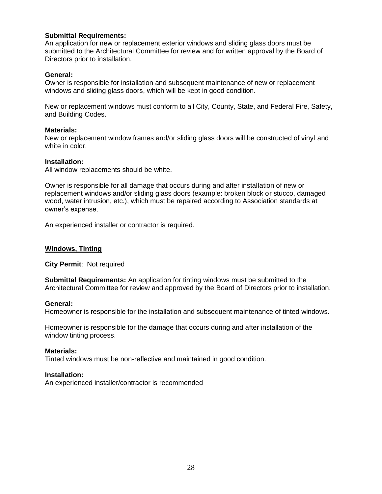# **Submittal Requirements:**

An application for new or replacement exterior windows and sliding glass doors must be submitted to the Architectural Committee for review and for written approval by the Board of Directors prior to installation.

# **General:**

Owner is responsible for installation and subsequent maintenance of new or replacement windows and sliding glass doors, which will be kept in good condition.

New or replacement windows must conform to all City, County, State, and Federal Fire, Safety, and Building Codes.

#### **Materials:**

New or replacement window frames and/or sliding glass doors will be constructed of vinyl and white in color.

#### **Installation:**

All window replacements should be white.

Owner is responsible for all damage that occurs during and after installation of new or replacement windows and/or sliding glass doors (example: broken block or stucco, damaged wood, water intrusion, etc.), which must be repaired according to Association standards at owner's expense.

An experienced installer or contractor is required.

# **Windows, Tinting**

**City Permit**: Not required

**Submittal Requirements:** An application for tinting windows must be submitted to the Architectural Committee for review and approved by the Board of Directors prior to installation.

# **General:**

Homeowner is responsible for the installation and subsequent maintenance of tinted windows.

Homeowner is responsible for the damage that occurs during and after installation of the window tinting process.

# **Materials:**

Tinted windows must be non-reflective and maintained in good condition.

# **Installation:**

An experienced installer/contractor is recommended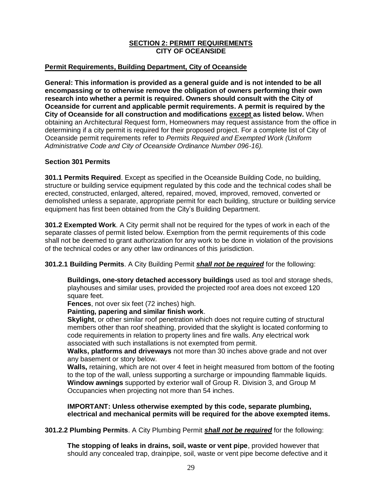# **SECTION 2: PERMIT REQUIREMENTS CITY OF OCEANSIDE**

# **Permit Requirements, Building Department, City of Oceanside**

**General: This information is provided as a general guide and is not intended to be all encompassing or to otherwise remove the obligation of owners performing their own research into whether a permit is required. Owners should consult with the City of Oceanside for current and applicable permit requirements. A permit is required by the City of Oceanside for all construction and modifications except as listed below.** When obtaining an Architectural Request form, Homeowners may request assistance from the office in determining if a city permit is required for their proposed project. For a complete list of City of Oceanside permit requirements refer to *Permits Required and Exempted Work (Uniform Administrative Code and City of Oceanside Ordinance Number 096-16).*

# **Section 301 Permits**

**301.1 Permits Required**. Except as specified in the Oceanside Building Code, no building, structure or building service equipment regulated by this code and the technical codes shall be erected, constructed, enlarged, altered, repaired, moved, improved, removed, converted or demolished unless a separate, appropriate permit for each building, structure or building service equipment has first been obtained from the City's Building Department.

**301.2 Exempted Work**. A City permit shall not be required for the types of work in each of the separate classes of permit listed below. Exemption from the permit requirements of this code shall not be deemed to grant authorization for any work to be done in violation of the provisions of the technical codes or any other law ordinances of this jurisdiction.

# **301.2.1 Building Permits**. A City Building Permit *shall not be required* for the following:

**Buildings, one-story detached accessory buildings** used as tool and storage sheds, playhouses and similar uses, provided the projected roof area does not exceed 120 square feet.

**Fences**, not over six feet (72 inches) high.

# **Painting, papering and similar finish work**.

**Skylight**, or other similar roof penetration which does not require cutting of structural members other than roof sheathing, provided that the skylight is located conforming to code requirements in relation to property lines and fire walls. Any electrical work associated with such installations is not exempted from permit.

**Walks, platforms and driveways** not more than 30 inches above grade and not over any basement or story below.

**Walls,** retaining, which are not over 4 feet in height measured from bottom of the footing to the top of the wall, unless supporting a surcharge or impounding flammable liquids. **Window awnings** supported by exterior wall of Group R. Division 3, and Group M Occupancies when projecting not more than 54 inches.

**IMPORTANT: Unless otherwise exempted by this code, separate plumbing, electrical and mechanical permits will be required for the above exempted items.**

**301.2.2 Plumbing Permits**. A City Plumbing Permit *shall not be required* for the following:

**The stopping of leaks in drains, soil, waste or vent pipe**, provided however that should any concealed trap, drainpipe, soil, waste or vent pipe become defective and it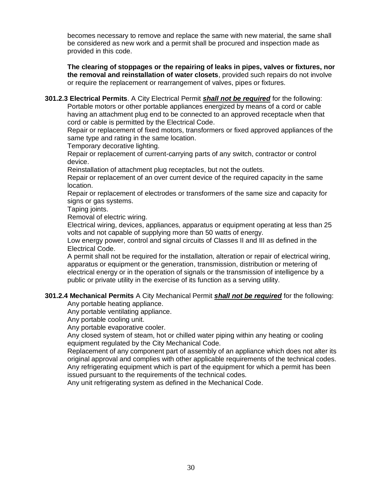becomes necessary to remove and replace the same with new material, the same shall be considered as new work and a permit shall be procured and inspection made as provided in this code.

**The clearing of stoppages or the repairing of leaks in pipes, valves or fixtures, nor the removal and reinstallation of water closets**, provided such repairs do not involve or require the replacement or rearrangement of valves, pipes or fixtures.

**301.2.3 Electrical Permits**. A City Electrical Permit *shall not be required* for the following: Portable motors or other portable appliances energized by means of a cord or cable having an attachment plug end to be connected to an approved receptacle when that cord or cable is permitted by the Electrical Code.

Repair or replacement of fixed motors, transformers or fixed approved appliances of the same type and rating in the same location.

Temporary decorative lighting.

Repair or replacement of current-carrying parts of any switch, contractor or control device.

Reinstallation of attachment plug receptacles, but not the outlets.

Repair or replacement of an over current device of the required capacity in the same location.

Repair or replacement of electrodes or transformers of the same size and capacity for signs or gas systems.

Taping joints.

Removal of electric wiring.

Electrical wiring, devices, appliances, apparatus or equipment operating at less than 25 volts and not capable of supplying more than 50 watts of energy.

Low energy power, control and signal circuits of Classes II and III as defined in the Electrical Code.

A permit shall not be required for the installation, alteration or repair of electrical wiring, apparatus or equipment or the generation, transmission, distribution or metering of electrical energy or in the operation of signals or the transmission of intelligence by a public or private utility in the exercise of its function as a serving utility.

# **301.2.4 Mechanical Permits** A City Mechanical Permit *shall not be required* for the following:

Any portable heating appliance.

Any portable ventilating appliance.

Any portable cooling unit.

Any portable evaporative cooler.

Any closed system of steam, hot or chilled water piping within any heating or cooling equipment regulated by the City Mechanical Code.

Replacement of any component part of assembly of an appliance which does not alter its original approval and complies with other applicable requirements of the technical codes. Any refrigerating equipment which is part of the equipment for which a permit has been issued pursuant to the requirements of the technical codes.

Any unit refrigerating system as defined in the Mechanical Code.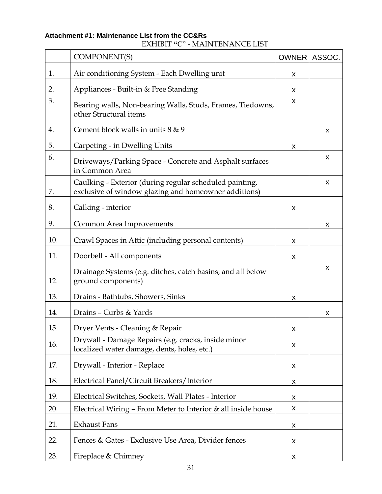# **Attachment #1: Maintenance List from the CC&Rs**

# EXHIBIT **"**C" **-** MAINTENANCE LIST

|     | <b>COMPONENT(S)</b>                                                                                             | <b>OWNER</b> | ASSOC.         |
|-----|-----------------------------------------------------------------------------------------------------------------|--------------|----------------|
| 1.  | Air conditioning System - Each Dwelling unit                                                                    | X            |                |
| 2.  | Appliances - Built-in & Free Standing                                                                           | X            |                |
| 3.  | Bearing walls, Non-bearing Walls, Studs, Frames, Tiedowns,<br>other Structural items                            | X            |                |
| 4.  | Cement block walls in units 8 & 9                                                                               |              | x              |
| 5.  | Carpeting - in Dwelling Units                                                                                   | X            |                |
| 6.  | Driveways/Parking Space - Concrete and Asphalt surfaces<br>in Common Area                                       |              | X              |
| 7.  | Caulking - Exterior (during regular scheduled painting,<br>exclusive of window glazing and homeowner additions) |              | X              |
| 8.  | Calking - interior                                                                                              | X            |                |
| 9.  | Common Area Improvements                                                                                        |              | $\pmb{\times}$ |
| 10. | Crawl Spaces in Attic (including personal contents)                                                             | X            |                |
| 11. | Doorbell - All components                                                                                       | X            |                |
| 12. | Drainage Systems (e.g. ditches, catch basins, and all below<br>ground components)                               |              | X              |
| 13. | Drains - Bathtubs, Showers, Sinks                                                                               | X            |                |
| 14. | Drains - Curbs & Yards                                                                                          |              | X              |
| 15. | Dryer Vents - Cleaning & Repair                                                                                 | X            |                |
| 16. | Drywall - Damage Repairs (e.g. cracks, inside minor<br>localized water damage, dents, holes, etc.)              | X            |                |
| 17. | Drywall - Interior - Replace                                                                                    | X            |                |
| 18. | Electrical Panel/Circuit Breakers/Interior                                                                      | X            |                |
| 19. | Electrical Switches, Sockets, Wall Plates - Interior                                                            | X            |                |
| 20. | Electrical Wiring - From Meter to Interior & all inside house                                                   | X            |                |
| 21. | <b>Exhaust Fans</b>                                                                                             | X            |                |
| 22. | Fences & Gates - Exclusive Use Area, Divider fences                                                             | X            |                |
| 23. | Fireplace & Chimney                                                                                             | X            |                |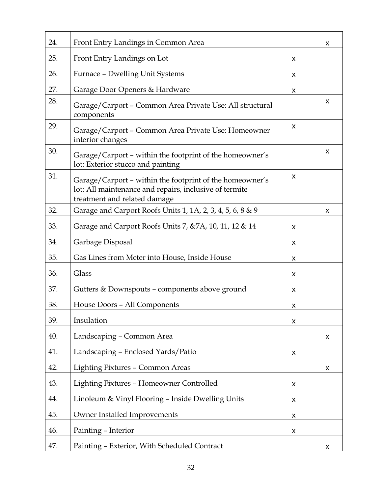| 24. | Front Entry Landings in Common Area                                                                                                                |                    | x |
|-----|----------------------------------------------------------------------------------------------------------------------------------------------------|--------------------|---|
| 25. | Front Entry Landings on Lot                                                                                                                        | X                  |   |
| 26. | Furnace - Dwelling Unit Systems                                                                                                                    | X                  |   |
| 27. | Garage Door Openers & Hardware                                                                                                                     | X                  |   |
| 28. | Garage/Carport - Common Area Private Use: All structural<br>components                                                                             |                    | X |
| 29. | Garage/Carport - Common Area Private Use: Homeowner<br>interior changes                                                                            | X                  |   |
| 30. | Garage/Carport - within the footprint of the homeowner's<br>lot: Exterior stucco and painting                                                      |                    | X |
| 31. | Garage/Carport - within the footprint of the homeowner's<br>lot: All maintenance and repairs, inclusive of termite<br>treatment and related damage | X                  |   |
| 32. | Garage and Carport Roofs Units 1, 1A, 2, 3, 4, 5, 6, 8 & 9                                                                                         |                    | X |
| 33. | Garage and Carport Roofs Units 7, & 7A, 10, 11, 12 & 14                                                                                            | X                  |   |
| 34. | Garbage Disposal                                                                                                                                   | X                  |   |
| 35. | Gas Lines from Meter into House, Inside House                                                                                                      | X                  |   |
| 36. | Glass                                                                                                                                              | X                  |   |
| 37. | Gutters & Downspouts - components above ground                                                                                                     | X                  |   |
| 38. | House Doors - All Components                                                                                                                       | X                  |   |
| 39. | Insulation                                                                                                                                         | X                  |   |
| 40. | Landscaping - Common Area                                                                                                                          |                    | X |
| 41. | Landscaping - Enclosed Yards/Patio                                                                                                                 | X                  |   |
| 42. | Lighting Fixtures - Common Areas                                                                                                                   |                    | X |
| 43. | Lighting Fixtures - Homeowner Controlled                                                                                                           | X                  |   |
| 44. | Linoleum & Vinyl Flooring - Inside Dwelling Units                                                                                                  | X                  |   |
| 45. | Owner Installed Improvements                                                                                                                       | X                  |   |
| 46. | Painting - Interior                                                                                                                                | $\pmb{\mathsf{X}}$ |   |
| 47. | Painting - Exterior, With Scheduled Contract                                                                                                       |                    | X |